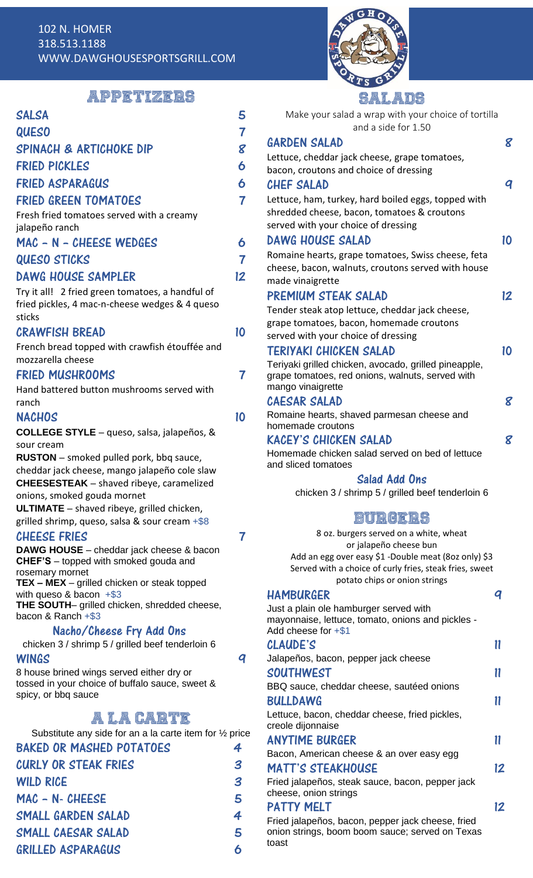

# APPETIZERS

SALSA 5 QUESO 7

| SPINACH & ARTICHOKE DIP                                                          | 8  |
|----------------------------------------------------------------------------------|----|
| <b>FRIED PICKLES</b>                                                             | 6  |
| <b>FRIED ASPARAGUS</b>                                                           | 6  |
| <b>FRIED GREEN TOMATOES</b>                                                      | 7  |
| Fresh fried tomatoes served with a creamy                                        |    |
| jalapeño ranch                                                                   |    |
| MAC - N - CHEESE WEDGES                                                          | 6  |
| <b>QUESO STICKS</b>                                                              | 7  |
| <b>DAWG HOUSE SAMPLER</b>                                                        | 12 |
| Try it all! 2 fried green tomatoes, a handful of                                 |    |
| fried pickles, 4 mac-n-cheese wedges & 4 queso<br>sticks                         |    |
| <b>CRAWFISH BREAD</b>                                                            | 10 |
| French bread topped with crawfish étouffée and                                   |    |
| mozzarella cheese                                                                |    |
| <b>FRIED MUSHROOMS</b>                                                           | 7  |
| Hand battered button mushrooms served with                                       |    |
| ranch                                                                            |    |
| <b>NACHOS</b>                                                                    | 10 |
| <b>COLLEGE STYLE</b> - queso, salsa, jalapeños, &<br>sour cream                  |    |
| <b>RUSTON</b> – smoked pulled pork, bbq sauce,                                   |    |
| cheddar jack cheese, mango jalapeño cole slaw                                    |    |
| <b>CHEESESTEAK</b> - shaved ribeye, caramelized                                  |    |
| onions, smoked gouda mornet<br><b>ULTIMATE</b> - shaved ribeye, grilled chicken, |    |
| grilled shrimp, queso, salsa & sour cream $+$ \$8                                |    |
| <b>CHEESE FRIES</b>                                                              |    |
| DAWG HOUSE - cheddar jack cheese & bacon                                         |    |
| CHEF'S - topped with smoked gouda and<br>rosemary mornet                         |    |
| $TEX – MEX – grilled chicken or steak topped$                                    |    |
| with queso & bacon $+$ \$3<br>THE SOUTH- grilled chicken, shredded cheese,       |    |
| bacon & Ranch +\$3                                                               |    |
| Nacho/Cheese Fry Add Ons                                                         |    |
| chicken 3 / shrimp 5 / grilled beef tenderloin 6                                 |    |
| WINGS<br>8 house brined wings served either dry or                               | q  |
| tossed in your choice of buffalo sauce, sweet &                                  |    |
| spicy, or bbq sauce                                                              |    |
| a la carte                                                                       |    |
| Substitute any side for an a la carte item for 1/2 price                         |    |
| <b>BAKED OR MASHED POTATOES</b>                                                  | 4  |
| <b>CURLY OR STEAK FRIES</b>                                                      | 3  |
| <b>WILD RICE</b>                                                                 | 3  |
| MAC - N- CHEESE                                                                  | 5  |
| SMALL GARDEN SALAD                                                               | 4  |
| SMALL CAESAR SALAD                                                               | 5  |
| <b>GRILLED ASPARAGUS</b>                                                         | 6  |
|                                                                                  |    |
|                                                                                  |    |
|                                                                                  |    |

| dalaud                                                                                                                                           |    |
|--------------------------------------------------------------------------------------------------------------------------------------------------|----|
| Make your salad a wrap with your choice of tortilla<br>and a side for 1.50                                                                       |    |
| <b>GARDEN SALAD</b>                                                                                                                              | 8  |
| Lettuce, cheddar jack cheese, grape tomatoes,                                                                                                    |    |
| bacon, croutons and choice of dressing                                                                                                           |    |
| <b>CHEF SALAD</b>                                                                                                                                | q  |
| Lettuce, ham, turkey, hard boiled eggs, topped with                                                                                              |    |
| shredded cheese, bacon, tomatoes & croutons                                                                                                      |    |
| served with your choice of dressing                                                                                                              |    |
| <b>DAWG HOUSE SALAD</b>                                                                                                                          | 10 |
| Romaine hearts, grape tomatoes, Swiss cheese, feta                                                                                               |    |
| cheese, bacon, walnuts, croutons served with house                                                                                               |    |
| made vinaigrette                                                                                                                                 |    |
| PREMIUM STEAK SALAD                                                                                                                              | 12 |
| Tender steak atop lettuce, cheddar jack cheese,                                                                                                  |    |
| grape tomatoes, bacon, homemade croutons                                                                                                         |    |
| served with your choice of dressing                                                                                                              |    |
| TERIYAKI CHICKEN SALAD                                                                                                                           | 10 |
| Teriyaki grilled chicken, avocado, grilled pineapple,                                                                                            |    |
| grape tomatoes, red onions, walnuts, served with                                                                                                 |    |
| mango vinaigrette                                                                                                                                |    |
| <b>CAESAR SALAD</b>                                                                                                                              | 8  |
| Romaine hearts, shaved parmesan cheese and<br>homemade croutons                                                                                  |    |
| <b>KACEY'S CHICKEN SALAD</b>                                                                                                                     | 8  |
| Homemade chicken salad served on bed of lettuce<br>and sliced tomatoes                                                                           |    |
| Salad Add Ons                                                                                                                                    |    |
| chicken 3 / shrimp 5 / grilled beef tenderloin 6                                                                                                 |    |
| BURGERS                                                                                                                                          |    |
| 8 oz. burgers served on a white, wheat                                                                                                           |    |
| or jalapeño cheese bun                                                                                                                           |    |
| Add an egg over easy \$1 -Double meat (8oz only) \$3<br>Served with a choice of curly fries, steak fries, sweet<br>potato chips or onion strings |    |
| <b>HAMBURGER</b>                                                                                                                                 | q  |
| Just a plain ole hamburger served with                                                                                                           |    |
| mayonnaise, lettuce, tomato, onions and pickles -<br>Add cheese for $+ $1$                                                                       |    |
| CLAUDE'S                                                                                                                                         | 11 |
| Jalapeños, bacon, pepper jack cheese                                                                                                             |    |
| <b>SOUTHWEST</b>                                                                                                                                 | 11 |
| BBQ sauce, cheddar cheese, sautéed onions                                                                                                        |    |
| <b>BULLDAWG</b>                                                                                                                                  |    |
|                                                                                                                                                  | 11 |
| Lettuce, bacon, cheddar cheese, fried pickles,<br>creole dijonnaise                                                                              |    |
| <b>ANYTIME BURGER</b>                                                                                                                            | 11 |
| Bacon, American cheese & an over easy egg                                                                                                        |    |
| <b>MATT'S STEAKHOUSE</b>                                                                                                                         | 12 |
|                                                                                                                                                  |    |

# MATT'S STEAKHOUSE

Fried jalapeños, steak sauce, bacon, pepper jack cheese, onion strings

# PATTY MELT

Fried jalapeños, bacon, pepper jack cheese, fried onion strings, boom boom sauce; served on Texas toast

12